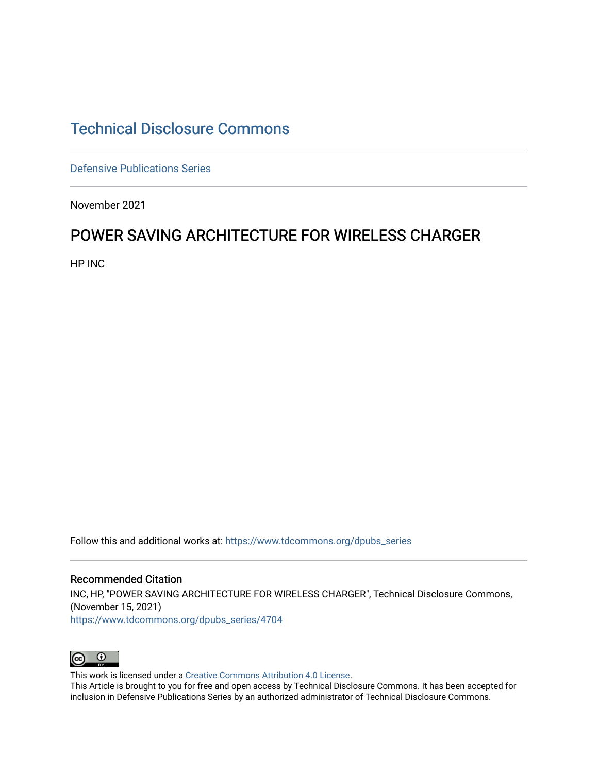## [Technical Disclosure Commons](https://www.tdcommons.org/)

[Defensive Publications Series](https://www.tdcommons.org/dpubs_series)

November 2021

## POWER SAVING ARCHITECTURE FOR WIRELESS CHARGER

HP INC

Follow this and additional works at: [https://www.tdcommons.org/dpubs\\_series](https://www.tdcommons.org/dpubs_series?utm_source=www.tdcommons.org%2Fdpubs_series%2F4704&utm_medium=PDF&utm_campaign=PDFCoverPages) 

Recommended Citation INC, HP, "POWER SAVING ARCHITECTURE FOR WIRELESS CHARGER", Technical Disclosure Commons, (November 15, 2021) [https://www.tdcommons.org/dpubs\\_series/4704](https://www.tdcommons.org/dpubs_series/4704?utm_source=www.tdcommons.org%2Fdpubs_series%2F4704&utm_medium=PDF&utm_campaign=PDFCoverPages)



This work is licensed under a [Creative Commons Attribution 4.0 License](http://creativecommons.org/licenses/by/4.0/deed.en_US).

This Article is brought to you for free and open access by Technical Disclosure Commons. It has been accepted for inclusion in Defensive Publications Series by an authorized administrator of Technical Disclosure Commons.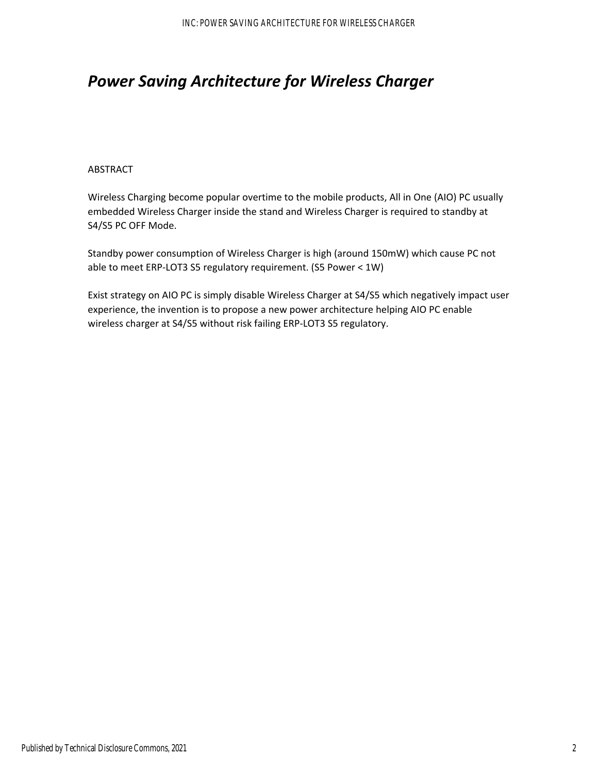# *Power Saving Architecture for Wireless Charger*

#### ABSTRACT

Wireless Charging become popular overtime to the mobile products, All in One (AIO) PC usually embedded Wireless Charger inside the stand and Wireless Charger is required to standby at S4/S5 PC OFF Mode.

Standby power consumption of Wireless Charger is high (around 150mW) which cause PC not able to meet ERP‐LOT3 S5 regulatory requirement. (S5 Power < 1W)

Exist strategy on AIO PC is simply disable Wireless Charger at S4/S5 which negatively impact user experience, the invention is to propose a new power architecture helping AIO PC enable wireless charger at S4/S5 without risk failing ERP‐LOT3 S5 regulatory.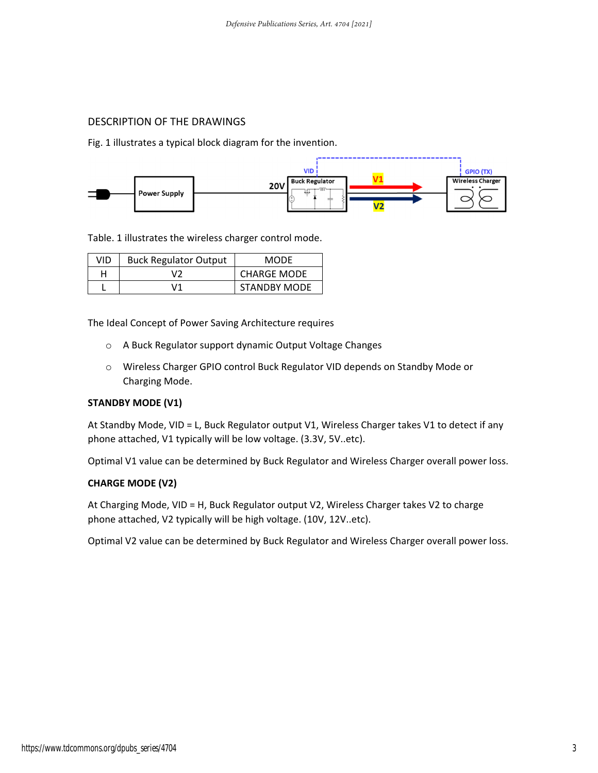### DESCRIPTION OF THE DRAWINGS

Fig. 1 illustrates a typical block diagram for the invention.



Table. 1 illustrates the wireless charger control mode.

| VID | <b>Buck Regulator Output</b> | MODE                |
|-----|------------------------------|---------------------|
|     | いつ                           | <b>CHARGE MODE</b>  |
|     | \/1                          | <b>STANDBY MODE</b> |

The Ideal Concept of Power Saving Architecture requires

- o A Buck Regulator support dynamic Output Voltage Changes
- o Wireless Charger GPIO control Buck Regulator VID depends on Standby Mode or Charging Mode.

#### **STANDBY MODE (V1)**

At Standby Mode, VID = L, Buck Regulator output V1, Wireless Charger takes V1 to detect if any phone attached, V1 typically will be low voltage. (3.3V, 5V..etc).

Optimal V1 value can be determined by Buck Regulator and Wireless Charger overall power loss.

#### **CHARGE MODE (V2)**

At Charging Mode, VID = H, Buck Regulator output V2, Wireless Charger takes V2 to charge phone attached, V2 typically will be high voltage. (10V, 12V..etc).

Optimal V2 value can be determined by Buck Regulator and Wireless Charger overall power loss.